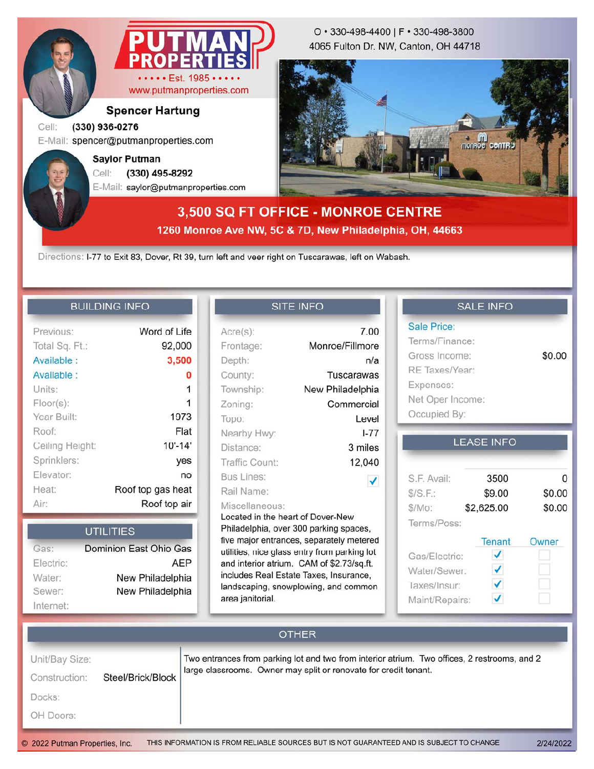

**Spencer Hartung**

#### Cell: **(330) 936-0276**

E-Mail: spencer@putmanproperties.com

E-Mail: saylor@putmanproperties.com Cell: **(330) 495-8292 Saylor Putman**

4065 Fulton Dr. NW, Canton, OH 44718 O • 330-498-4400 | F • 330-498-3800



# **3,500 SQ FT OFFICE - MONROE CENTRE 1260 Monroe Ave NW, 5C & 7D, New Philadelphia, OH, 44663**

Directions: I-77 to Exit 83, Dover, Rt 39, turn left and veer right on Tuscarawas, left on Wabash.

### **BUILDING INFO**

| Previous:       | Word of Life      |
|-----------------|-------------------|
| Total Sq. Ft.:  | 92,000            |
| Available:      | 3,500             |
| Available :     | 0                 |
| Units:          | 1                 |
| Floor(s):       | 1                 |
| Year Built:     | 1973              |
| Roof:           | Flat              |
| Ceiling Height: | $10' - 14'$       |
| Sprinklers:     | yes               |
| Elevator:       | no                |
| Heat:           | Roof top gas heat |
| Air:            | Roof top air      |
|                 |                   |

|           | <b>UTILITIES</b>       |
|-----------|------------------------|
| Gas:      | Dominion East Ohio Gas |
| Electric: | <b>AEP</b>             |
| Water:    | New Philadelphia       |
| Sewer:    | New Philadelphia       |
| Internet: |                        |

### **SITE INFO**

| $Acre(s)$ :                                                                                                                                                                                                                                                                                                                                  | 7.00             |  |  |  |
|----------------------------------------------------------------------------------------------------------------------------------------------------------------------------------------------------------------------------------------------------------------------------------------------------------------------------------------------|------------------|--|--|--|
| Frontage:                                                                                                                                                                                                                                                                                                                                    | Monroe/Fillmore  |  |  |  |
| Depth:                                                                                                                                                                                                                                                                                                                                       | n/a              |  |  |  |
| County:                                                                                                                                                                                                                                                                                                                                      | Tuscarawas       |  |  |  |
| Township:                                                                                                                                                                                                                                                                                                                                    | New Philadelphia |  |  |  |
| Zoning:                                                                                                                                                                                                                                                                                                                                      | Commercial       |  |  |  |
| Topo:                                                                                                                                                                                                                                                                                                                                        | Level            |  |  |  |
| Nearby Hwy:                                                                                                                                                                                                                                                                                                                                  | $1 - 77$         |  |  |  |
| Distance:                                                                                                                                                                                                                                                                                                                                    | 3 miles          |  |  |  |
| Traffic Count:                                                                                                                                                                                                                                                                                                                               | 12,040           |  |  |  |
| Bus Lines:                                                                                                                                                                                                                                                                                                                                   | $\checkmark$     |  |  |  |
| Rail Name:                                                                                                                                                                                                                                                                                                                                   |                  |  |  |  |
| Miscellaneous:<br>Located in the heart of Dover-New<br>Philadelphia, over 300 parking spaces,<br>five major entrances, separately metered<br>utilities, nice glass entry from parking lot<br>and interior atrium. CAM of \$2.73/sq.ft.<br>includes Real Estate Taxes, Insurance,<br>landscaping, snowplowing, and common<br>area janitorial. |                  |  |  |  |

### **SALE INFO**

| <b>Sale Price:</b> |        |
|--------------------|--------|
| Terms/Finance:     |        |
| Gross Income:      | \$0.00 |
| RE Taxes/Year:     |        |
| Expenses:          |        |
| Net Oper Income:   |        |
| Occupied By:       |        |

### **LEASE INFO**

| S.F. Avail:    | 3500       | O      |
|----------------|------------|--------|
| S/S.F.         | \$9.00     | \$0.00 |
| \$/Mo:         | \$2,625.00 | \$0.00 |
| Terms/Poss:    |            |        |
|                | Tenant     | Owner  |
| Gas/Electric:  |            |        |
| Water/Sewer:   |            |        |
| Taxes/Insur:   |            |        |
| Maint/Repairs: |            |        |

## **OTHER** Unit/Bay Size: Two entrances from parking lot and two from interior atrium. Two offices, 2 restrooms, and 2 large classrooms. Owner may split or renovate for credit tenant. Construction: Steel/Brick/Block Docks: OH Doors: